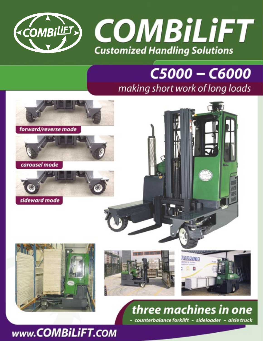

## C5000 - C6000 making short work of long loads

counterbalance forklift - sideloader - aisle truck



### www.COMBiLiFT.COM